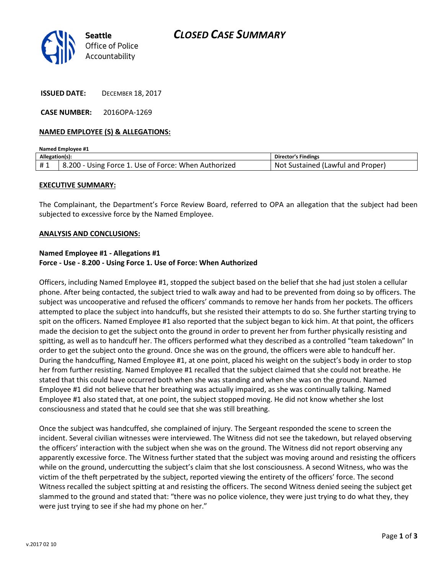

ISSUED DATE: DECEMBER 18, 2017

CASE NUMBER: 2016OPA-1269

### NAMED EMPLOYEE (S) & ALLEGATIONS:

| <b>Named Employee #1</b> |                                                      |                                   |
|--------------------------|------------------------------------------------------|-----------------------------------|
| Allegation(s):           |                                                      | <b>Director's Findings</b>        |
| #1                       | 8.200 - Using Force 1. Use of Force: When Authorized | Not Sustained (Lawful and Proper) |

### EXECUTIVE SUMMARY:

The Complainant, the Department's Force Review Board, referred to OPA an allegation that the subject had been subjected to excessive force by the Named Employee.

#### ANALYSIS AND CONCLUSIONS:

## Named Employee #1 - Allegations #1 Force - Use - 8.200 - Using Force 1. Use of Force: When Authorized

Officers, including Named Employee #1, stopped the subject based on the belief that she had just stolen a cellular phone. After being contacted, the subject tried to walk away and had to be prevented from doing so by officers. The subject was uncooperative and refused the officers' commands to remove her hands from her pockets. The officers attempted to place the subject into handcuffs, but she resisted their attempts to do so. She further starting trying to spit on the officers. Named Employee #1 also reported that the subject began to kick him. At that point, the officers made the decision to get the subject onto the ground in order to prevent her from further physically resisting and spitting, as well as to handcuff her. The officers performed what they described as a controlled "team takedown" In order to get the subject onto the ground. Once she was on the ground, the officers were able to handcuff her. During the handcuffing, Named Employee #1, at one point, placed his weight on the subject's body in order to stop her from further resisting. Named Employee #1 recalled that the subject claimed that she could not breathe. He stated that this could have occurred both when she was standing and when she was on the ground. Named Employee #1 did not believe that her breathing was actually impaired, as she was continually talking. Named Employee #1 also stated that, at one point, the subject stopped moving. He did not know whether she lost consciousness and stated that he could see that she was still breathing.

Once the subject was handcuffed, she complained of injury. The Sergeant responded the scene to screen the incident. Several civilian witnesses were interviewed. The Witness did not see the takedown, but relayed observing the officers' interaction with the subject when she was on the ground. The Witness did not report observing any apparently excessive force. The Witness further stated that the subject was moving around and resisting the officers while on the ground, undercutting the subject's claim that she lost consciousness. A second Witness, who was the victim of the theft perpetrated by the subject, reported viewing the entirety of the officers' force. The second Witness recalled the subject spitting at and resisting the officers. The second Witness denied seeing the subject get slammed to the ground and stated that: "there was no police violence, they were just trying to do what they, they were just trying to see if she had my phone on her."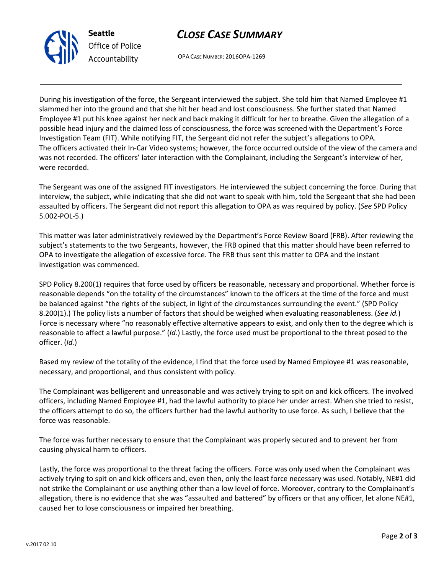

# CLOSE CASE SUMMARY

OPA CASE NUMBER: 2016OPA-1269

During his investigation of the force, the Sergeant interviewed the subject. She told him that Named Employee #1 slammed her into the ground and that she hit her head and lost consciousness. She further stated that Named Employee #1 put his knee against her neck and back making it difficult for her to breathe. Given the allegation of a possible head injury and the claimed loss of consciousness, the force was screened with the Department's Force Investigation Team (FIT). While notifying FIT, the Sergeant did not refer the subject's allegations to OPA. The officers activated their In-Car Video systems; however, the force occurred outside of the view of the camera and was not recorded. The officers' later interaction with the Complainant, including the Sergeant's interview of her, were recorded.

The Sergeant was one of the assigned FIT investigators. He interviewed the subject concerning the force. During that interview, the subject, while indicating that she did not want to speak with him, told the Sergeant that she had been assaulted by officers. The Sergeant did not report this allegation to OPA as was required by policy. (See SPD Policy 5.002-POL-5.)

This matter was later administratively reviewed by the Department's Force Review Board (FRB). After reviewing the subject's statements to the two Sergeants, however, the FRB opined that this matter should have been referred to OPA to investigate the allegation of excessive force. The FRB thus sent this matter to OPA and the instant investigation was commenced.

SPD Policy 8.200(1) requires that force used by officers be reasonable, necessary and proportional. Whether force is reasonable depends "on the totality of the circumstances" known to the officers at the time of the force and must be balanced against "the rights of the subject, in light of the circumstances surrounding the event." (SPD Policy 8.200(1).) The policy lists a number of factors that should be weighed when evaluating reasonableness. (See id.) Force is necessary where "no reasonably effective alternative appears to exist, and only then to the degree which is reasonable to affect a lawful purpose." (Id.) Lastly, the force used must be proportional to the threat posed to the officer. (Id.)

Based my review of the totality of the evidence, I find that the force used by Named Employee #1 was reasonable, necessary, and proportional, and thus consistent with policy.

The Complainant was belligerent and unreasonable and was actively trying to spit on and kick officers. The involved officers, including Named Employee #1, had the lawful authority to place her under arrest. When she tried to resist, the officers attempt to do so, the officers further had the lawful authority to use force. As such, I believe that the force was reasonable.

The force was further necessary to ensure that the Complainant was properly secured and to prevent her from causing physical harm to officers.

Lastly, the force was proportional to the threat facing the officers. Force was only used when the Complainant was actively trying to spit on and kick officers and, even then, only the least force necessary was used. Notably, NE#1 did not strike the Complainant or use anything other than a low level of force. Moreover, contrary to the Complainant's allegation, there is no evidence that she was "assaulted and battered" by officers or that any officer, let alone NE#1, caused her to lose consciousness or impaired her breathing.